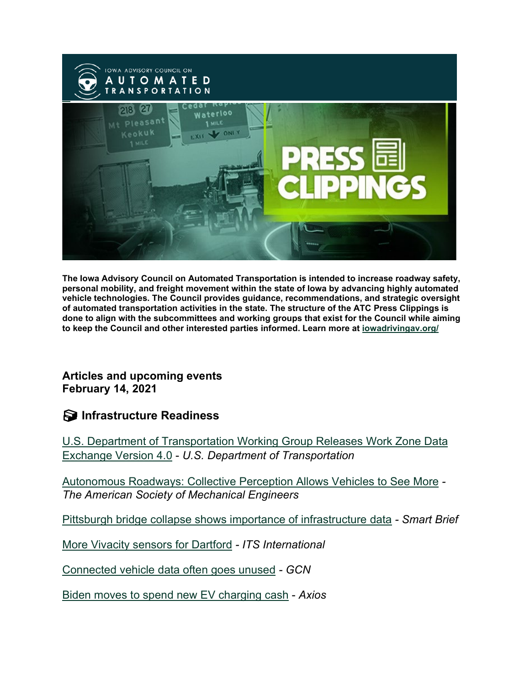

**The Iowa Advisory Council on Automated Transportation is intended to increase roadway safety, personal mobility, and freight movement within the state of Iowa by advancing highly automated vehicle technologies. The Council provides guidance, recommendations, and strategic oversight of automated transportation activities in the state. The structure of the ATC Press Clippings is done to align with the subcommittees and working groups that exist for the Council while aiming to keep the Council and other interested parties informed. Learn more at [iowadrivingav.org/](https://iowadrivingav.org/?utm_medium=email&utm_source=govdelivery)**

**Articles and upcoming events February 14, 2021**

**S** Infrastructure Readiness

[U.S. Department of Transportation Working Group Releases Work Zone Data](https://www.bts.gov/newsroom/us-department-transportation-working-group-releases-work-zone-data-exchange-version-40?utm_medium=email&utm_source=govdelivery)  [Exchange Version 4.0](https://www.bts.gov/newsroom/us-department-transportation-working-group-releases-work-zone-data-exchange-version-40?utm_medium=email&utm_source=govdelivery) - *U.S. Department of Transportation*

[Autonomous Roadways: Collective Perception Allows Vehicles to See More](https://www.asme.org/topics-resources/content/autonomous-roadways-collective-perception-allows-vehicles-to-see-more?utm_medium=email&utm_source=govdelivery) *- The American Society of Mechanical Engineers*

[Pittsburgh bridge collapse shows importance of infrastructure data](https://corp.smartbrief.com/2022/02/pittsburgh-bridge-collapse-shows-importance-of-infrastructure-data?utm_medium=email&utm_source=govdelivery) *- Smart Brief*

[More Vivacity sensors for Dartford](https://www.itsinternational.com/its4/its8/news/more-vivacity-sensors-dartford?utm_medium=email&utm_source=govdelivery) *- ITS International*

[Connected vehicle data often goes unused](https://www.gcn.com/data-analytics/2022/02/connected-vehicle-data-often-goes-unused/361796/?utm_medium=email&utm_source=govdelivery) *- GCN*

[Biden moves to spend new EV charging cash](https://www.axios.com/biden-states-ev-charging-cash-climate-change-d09ae5d6-52fb-445a-8e59-59d0324c63db.html?utm_medium=email&utm_source=govdelivery) - *Axios*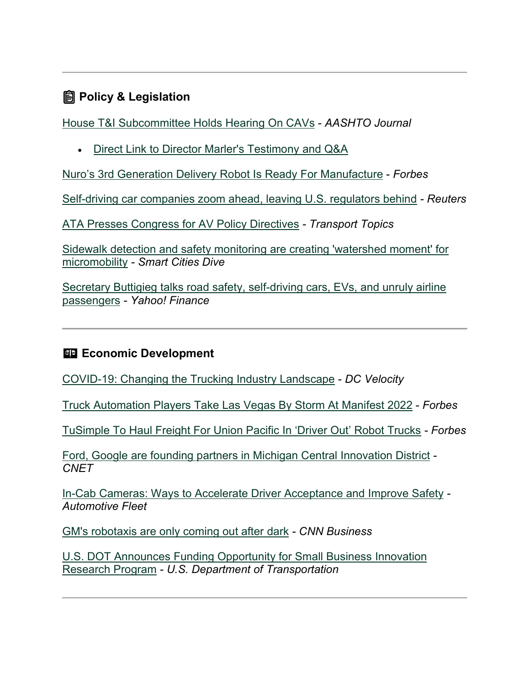## **Policy & Legislation**

[House T&I Subcommittee Holds Hearing On CAVs](https://aashtojournal.org/2022/02/04/house-ti-subcommittee-holds-hearing-on-cavs/?utm_medium=email&utm_source=govdelivery) - *AASHTO Journal*

• [Direct Link to Director Marler's Testimony and Q&A](https://youtu.be/2HE6Zrt6chA?utm_medium=email&utm_source=govdelivery)

[Nuro's 3rd Generation Delivery Robot Is Ready For Manufacture](https://www.forbes.com/sites/bradtempleton/2022/02/01/nuros-3rd-generation-delivery-robot-is-ready-for-manufacture/?sh=f814f8e8960a&utm_medium=email&utm_source=govdelivery) - *Forbes*

[Self-driving car companies zoom ahead, leaving U.S. regulators behind](https://www.reuters.com/business/autos-transportation/self-driving-car-companies-zoom-ahead-leaving-us-regulators-behind-2022-02-02/?utm_medium=email&utm_source=govdelivery) *- Reuters*

[ATA Presses Congress for AV Policy Directives](https://www.ttnews.com/articles/ata-presses-congress-av-policy-directives?utm_medium=email&utm_source=govdelivery) *- Transport Topics*

[Sidewalk detection and safety monitoring are creating 'watershed moment' for](https://www.smartcitiesdive.com/news/superpedestrian-sidewalk-detection-safety-monitoring-cities-micromobility/618433/?utm_medium=email&utm_source=govdelivery)  [micromobility](https://www.smartcitiesdive.com/news/superpedestrian-sidewalk-detection-safety-monitoring-cities-micromobility/618433/?utm_medium=email&utm_source=govdelivery) *- Smart Cities Dive*

[Secretary Buttigieg talks road safety, self-driving cars, EVs, and unruly airline](https://finance.yahoo.com/video/secretary-buttigieg-talks-road-safety-174241342.html?utm_medium=email&utm_source=govdelivery)  [passengers](https://finance.yahoo.com/video/secretary-buttigieg-talks-road-safety-174241342.html?utm_medium=email&utm_source=govdelivery) *- Yahoo! Finance*

#### **Example 2** Economic Development

[COVID-19: Changing the Trucking Industry Landscape](https://www.dcvelocity.com/blogs/2-one-off-sound-off/post/53674-covid-19-changing-the-trucking-industry-landscape?utm_medium=email&utm_source=govdelivery) - *DC Velocity*

[Truck Automation Players Take Las Vegas By Storm At Manifest 2022](https://www.forbes.com/sites/richardbishop1/2022/02/02/truck-automation-players-take-las-vegas-by-storm-at-manifest-2022/?sh=5ed3dd4a4da8&utm_medium=email&utm_source=govdelivery) - *Forbes*

[TuSimple To Haul Freight For Union Pacific In 'Driver Out' Robot Trucks](https://www.forbes.com/sites/alanohnsman/2022/02/02/tusimple-to-haul-freight-for-union-pacific-in-driver-out-robot-trucks/?sh=10e23e086318&utm_medium=email&utm_source=govdelivery) *- Forbes*

[Ford, Google are founding partners in Michigan Central Innovation District](https://www.cnet.com/roadshow/news/ford-google-michigan-central-innovation-district/?utm_medium=email&utm_source=govdelivery) *- CNET*

[In-Cab Cameras: Ways to Accelerate Driver Acceptance and Improve Safety](https://www.automotive-fleet.com/10160666/in-cab-cameras-ways-to-accelerate-driver-acceptance-and-improve-safety?utm_medium=email&utm_source=govdelivery) *- Automotive Fleet*

[GM's robotaxis are only coming out after dark](https://edition.cnn.com/2022/02/08/tech/cruise-robotaxis-night/?utm_medium=email&utm_source=govdelivery) *- CNN Business*

[U.S. DOT Announces Funding Opportunity for Small Business Innovation](https://www.transportation.gov/briefing-room/us-dot-announces-funding-opportunity-small-business-innovation-research-program?utm_medium=email&utm_source=govdelivery)  [Research Program](https://www.transportation.gov/briefing-room/us-dot-announces-funding-opportunity-small-business-innovation-research-program?utm_medium=email&utm_source=govdelivery) *- U.S. Department of Transportation*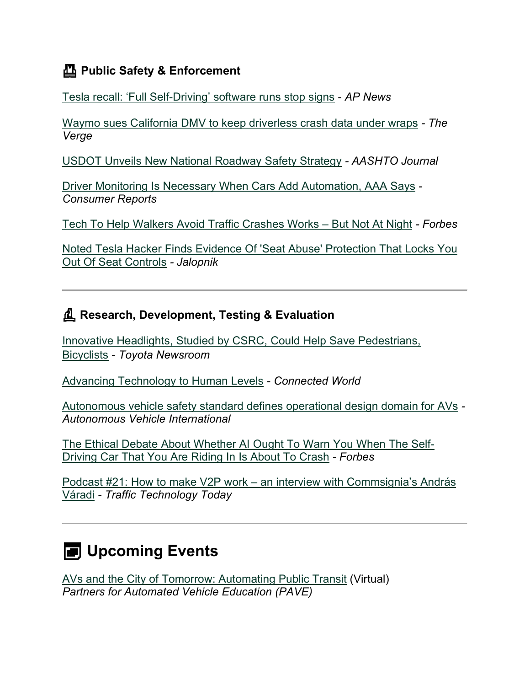### **Public Safety & Enforcement**

[Tesla recall: 'Full Self-Driving' software runs stop signs](https://apnews.com/article/tesla-recall-full-self-driving-software-e23d252ac5164cb0e7af776625b15180?utm_medium=email&utm_source=govdelivery) - *AP News*

[Waymo sues California DMV to keep driverless crash data under wraps](https://www.theverge.com/2022/1/28/22906513/waymo-lawsuit-california-dmv-crash-data-foia?utm_medium=email&utm_source=govdelivery) *- The Verge*

[USDOT Unveils New National Roadway Safety Strategy](https://aashtojournal.org/2022/01/28/usdot-unveils-new-national-roadway-safety-strategy/?utm_medium=email&utm_source=govdelivery) *- AASHTO Journal*

[Driver Monitoring Is Necessary When Cars Add Automation, AAA Says](https://www.consumerreports.org/car-safety/driver-monitoring-is-necessary-when-cars-add-automation-aaa-a4724497022/?utm_medium=email&utm_source=govdelivery) *- Consumer Reports*

[Tech To Help Walkers Avoid Traffic Crashes Works –](https://www.forbes.com/sites/tanyamohn/2022/02/03/tech-to-help-walkers-avoid-traffic-crashes-works--but-not-at-night/?sh=48440df7445e&utm_medium=email&utm_source=govdelivery) But Not At Night *- Forbes*

[Noted Tesla Hacker Finds Evidence Of 'Seat Abuse' Protection That Locks You](https://jalopnik.com/noted-tesla-hacker-finds-evidence-of-seat-abuse-prote-1848453737?utm_medium=email&utm_source=govdelivery)  [Out Of Seat Controls](https://jalopnik.com/noted-tesla-hacker-finds-evidence-of-seat-abuse-prote-1848453737?utm_medium=email&utm_source=govdelivery) *- Jalopnik*

#### **Research, Development, Testing & Evaluation**

[Innovative Headlights, Studied by CSRC, Could Help Save Pedestrians,](https://pressroom.toyota.com/innovative-headlights-studied-by-csrc-could-help-save-pedestrians-bicyclists/?utm_medium=email&utm_source=govdelivery)  [Bicyclists](https://pressroom.toyota.com/innovative-headlights-studied-by-csrc-could-help-save-pedestrians-bicyclists/?utm_medium=email&utm_source=govdelivery) - *Toyota Newsroom*

[Advancing Technology to Human Levels](https://connectedworld.com/advancing-technology-to-human-levels/?utm_medium=email&utm_source=govdelivery) - *Connected World*

[Autonomous vehicle safety standard defines operational design domain for AVs](https://www.autonomousvehicleinternational.com/news/connectivity/autonomous-vehicle-safety-standard-defines-operational-design-domain-for-avs.html?utm_medium=email&utm_source=govdelivery) *- Autonomous Vehicle International*

[The Ethical Debate About Whether AI Ought To Warn You When The Self-](https://www.forbes.com/sites/lanceeliot/2022/02/07/the-ethical-debate-about-whether-ai-ought-to-warn-you-when-the-self-driving-car-that-you-are-riding-in-is-about-to-crash/?sh=5bedeac36c82&utm_medium=email&utm_source=govdelivery)[Driving Car That You Are Riding In Is About To Crash](https://www.forbes.com/sites/lanceeliot/2022/02/07/the-ethical-debate-about-whether-ai-ought-to-warn-you-when-the-self-driving-car-that-you-are-riding-in-is-about-to-crash/?sh=5bedeac36c82&utm_medium=email&utm_source=govdelivery) *- Forbes*

Podcast #21: How to make V2P work – [an interview with Commsignia's András](https://www.traffictechnologytoday.com/podcast/podcast-21-v2x-pedestrian-protection-and-5g-an-interview-with-commsignias-andras-varadi.html?utm_medium=email&utm_source=govdelivery)  [Váradi](https://www.traffictechnologytoday.com/podcast/podcast-21-v2x-pedestrian-protection-and-5g-an-interview-with-commsignias-andras-varadi.html?utm_medium=email&utm_source=govdelivery) *- Traffic Technology Today*

# **E** Upcoming Events

[AVs and the City of Tomorrow: Automating Public Transit](https://pavecampaign.org/event/virtual-panel-automating-public-transit/?utm_medium=email&utm_source=govdelivery) (Virtual) *Partners for Automated Vehicle Education (PAVE)*